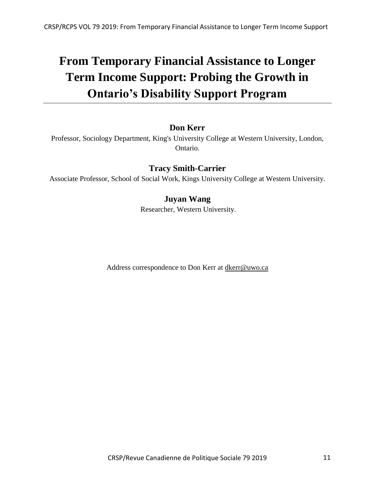# **From Temporary Financial Assistance to Longer Term Income Support: Probing the Growth in Ontario's Disability Support Program**

# **Don Kerr**

Professor, Sociology Department, King's University College at Western University, London, Ontario.

# **Tracy Smith-Carrier**

Associate Professor, School of Social Work, Kings University College at Western University.

# **Juyan Wang**

Researcher, Western University.

Address correspondence to Don Kerr at dkerr@uwo.ca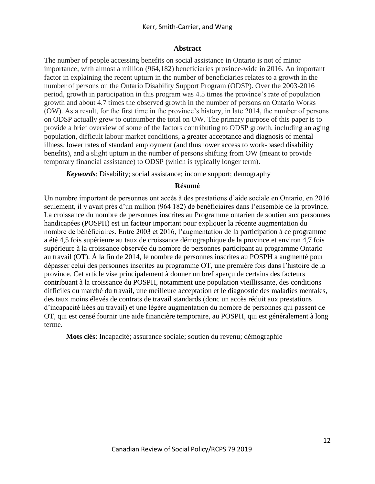## **Abstract**

The number of people accessing benefits on social assistance in Ontario is not of minor importance, with almost a million (964,182) beneficiaries province-wide in 2016. An important factor in explaining the recent upturn in the number of beneficiaries relates to a growth in the number of persons on the Ontario Disability Support Program (ODSP). Over the 2003-2016 period, growth in participation in this program was 4.5 times the province's rate of population growth and about 4.7 times the observed growth in the number of persons on Ontario Works (OW). As a result, for the first time in the province's history, in late 2014, the number of persons on ODSP actually grew to outnumber the total on OW. The primary purpose of this paper is to provide a brief overview of some of the factors contributing to ODSP growth, including an aging population, difficult labour market conditions, a greater acceptance and diagnosis of mental illness, lower rates of standard employment (and thus lower access to work-based disability benefits), and a slight upturn in the number of persons shifting from OW (meant to provide temporary financial assistance) to ODSP (which is typically longer term).

*Keywords*: Disability; social assistance; income support; demography

## **Résumé**

Un nombre important de personnes ont accès à des prestations d'aide sociale en Ontario, en 2016 seulement, il y avait près d'un million (964 182) de bénéficiaires dans l'ensemble de la province. La croissance du nombre de personnes inscrites au Programme ontarien de soutien aux personnes handicapées (POSPH) est un facteur important pour expliquer la récente augmentation du nombre de bénéficiaires. Entre 2003 et 2016, l'augmentation de la participation à ce programme a été 4,5 fois supérieure au taux de croissance démographique de la province et environ 4,7 fois supérieure à la croissance observée du nombre de personnes participant au programme Ontario au travail (OT). À la fin de 2014, le nombre de personnes inscrites au POSPH a augmenté pour dépasser celui des personnes inscrites au programme OT, une première fois dans l'histoire de la province. Cet article vise principalement à donner un bref aperçu de certains des facteurs contribuant à la croissance du POSPH, notamment une population vieillissante, des conditions difficiles du marché du travail, une meilleure acceptation et le diagnostic des maladies mentales, des taux moins élevés de contrats de travail standards (donc un accès réduit aux prestations d'incapacité liées au travail) et une légère augmentation du nombre de personnes qui passent de OT, qui est censé fournir une aide financière temporaire, au POSPH, qui est généralement à long terme.

**Mots clés**: Incapacité; assurance sociale; soutien du revenu; démographie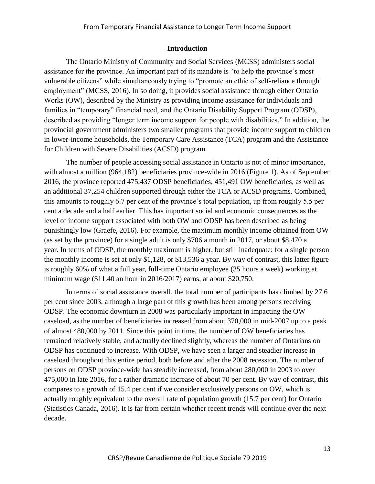#### **Introduction**

The Ontario Ministry of Community and Social Services (MCSS) administers social assistance for the province. An important part of its mandate is "to help the province's most vulnerable citizens" while simultaneously trying to "promote an ethic of self-reliance through employment" (MCSS, 2016). In so doing, it provides social assistance through either Ontario Works (OW), described by the Ministry as providing income assistance for individuals and families in "temporary" financial need, and the Ontario Disability Support Program (ODSP), described as providing "longer term income support for people with disabilities." In addition, the provincial government administers two smaller programs that provide income support to children in lower-income households, the Temporary Care Assistance (TCA) program and the Assistance for Children with Severe Disabilities (ACSD) program.

The number of people accessing social assistance in Ontario is not of minor importance, with almost a million (964,182) beneficiaries province-wide in 2016 (Figure 1). As of September 2016, the province reported 475,437 ODSP beneficiaries, 451,491 OW beneficiaries, as well as an additional 37,254 children supported through either the TCA or ACSD programs. Combined, this amounts to roughly 6.7 per cent of the province's total population, up from roughly 5.5 per cent a decade and a half earlier. This has important social and economic consequences as the level of income support associated with both OW and ODSP has been described as being punishingly low (Graefe, 2016). For example, the maximum monthly income obtained from OW (as set by the province) for a single adult is only \$706 a month in 2017, or about \$8,470 a year. In terms of ODSP, the monthly maximum is higher, but still inadequate: for a single person the monthly income is set at only \$1,128, or \$13,536 a year. By way of contrast, this latter figure is roughly 60% of what a full year, full-time Ontario employee (35 hours a week) working at minimum wage (\$11.40 an hour in 2016/2017) earns, at about \$20,750.

In terms of social assistance overall, the total number of participants has climbed by 27.6 per cent since 2003, although a large part of this growth has been among persons receiving ODSP. The economic downturn in 2008 was particularly important in impacting the OW caseload, as the number of beneficiaries increased from about 370,000 in mid-2007 up to a peak of almost 480,000 by 2011. Since this point in time, the number of OW beneficiaries has remained relatively stable, and actually declined slightly, whereas the number of Ontarians on ODSP has continued to increase. With ODSP, we have seen a larger and steadier increase in caseload throughout this entire period, both before and after the 2008 recession. The number of persons on ODSP province-wide has steadily increased, from about 280,000 in 2003 to over 475,000 in late 2016, for a rather dramatic increase of about 70 per cent. By way of contrast, this compares to a growth of 15.4 per cent if we consider exclusively persons on OW, which is actually roughly equivalent to the overall rate of population growth (15.7 per cent) for Ontario (Statistics Canada, 2016). It is far from certain whether recent trends will continue over the next decade.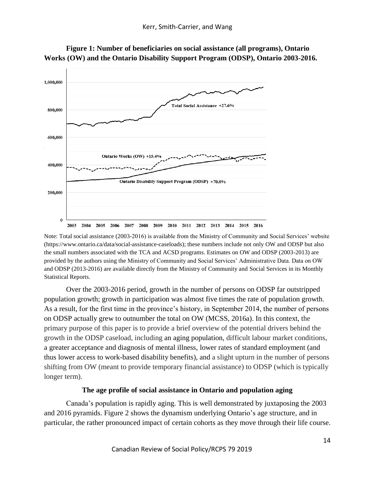

**Figure 1: Number of beneficiaries on social assistance (all programs), Ontario Works (OW) and the Ontario Disability Support Program (ODSP), Ontario 2003-2016.**

Note: Total social assistance (2003-2016) is available from the Ministry of Community and Social Services' website (https://www.ontario.ca/data/social-assistance-caseloads); these numbers include not only OW and ODSP but also the small numbers associated with the TCA and ACSD programs. Estimates on OW and ODSP (2003-2013) are provided by the authors using the Ministry of Community and Social Services' Administrative Data. Data on OW and ODSP (2013-2016) are available directly from the Ministry of Community and Social Services in its Monthly Statistical Reports.

Over the 2003-2016 period, growth in the number of persons on ODSP far outstripped population growth; growth in participation was almost five times the rate of population growth. As a result, for the first time in the province's history, in September 2014, the number of persons on ODSP actually grew to outnumber the total on OW (MCSS, 2016a). In this context, the primary purpose of this paper is to provide a brief overview of the potential drivers behind the growth in the ODSP caseload, including an aging population, difficult labour market conditions, a greater acceptance and diagnosis of mental illness, lower rates of standard employment (and thus lower access to work-based disability benefits), and a slight upturn in the number of persons shifting from OW (meant to provide temporary financial assistance) to ODSP (which is typically longer term).

## **The age profile of social assistance in Ontario and population aging**

Canada's population is rapidly aging. This is well demonstrated by juxtaposing the 2003 and 2016 pyramids. Figure 2 shows the dynamism underlying Ontario's age structure, and in particular, the rather pronounced impact of certain cohorts as they move through their life course.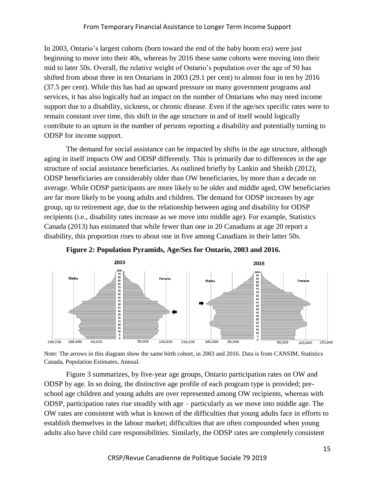In 2003, Ontario's largest cohorts (born toward the end of the baby boom era) were just beginning to move into their 40s, whereas by 2016 these same cohorts were moving into their mid to later 50s. Overall, the relative weight of Ontario's population over the age of 50 has shifted from about three in ten Ontarians in 2003 (29.1 per cent) to almost four in ten by 2016 (37.5 per cent). While this has had an upward pressure on many government programs and services, it has also logically had an impact on the number of Ontarians who may need income support due to a disability, sickness, or chronic disease. Even if the age/sex specific rates were to remain constant over time, this shift in the age structure in and of itself would logically contribute to an upturn in the number of persons reporting a disability and potentially turning to ODSP for income support.

The demand for social assistance can be impacted by shifts in the age structure, although aging in itself impacts OW and ODSP differently. This is primarily due to differences in the age structure of social assistance beneficiaries. As outlined briefly by Lankin and Sheikh (2012), ODSP beneficiaries are considerably older than OW beneficiaries, by more than a decade on average. While ODSP participants are more likely to be older and middle aged, OW beneficiaries are far more likely to be young adults and children. The demand for ODSP increases by age group, up to retirement age, due to the relationship between aging and disability for ODSP recipients (i.e., disability rates increase as we move into middle age). For example, Statistics Canada (2013) has estimated that while fewer than one in 20 Canadians at age 20 report a disability, this proportion rises to about one in five among Canadians in their latter 50s.





Note: The arrows in this diagram show the same birth cohort, in 2003 and 2016. Data is from CANSIM, Statistics Canada, Population Estimates, Annual.

Figure 3 summarizes, by five-year age groups, Ontario participation rates on OW and ODSP by age. In so doing, the distinctive age profile of each program type is provided; preschool age children and young adults are over represented among OW recipients, whereas with ODSP, participation rates rise steadily with age – particularly as we move into middle age. The OW rates are consistent with what is known of the difficulties that young adults face in efforts to establish themselves in the labour market; difficulties that are often compounded when young adults also have child care responsibilities. Similarly, the ODSP rates are completely consistent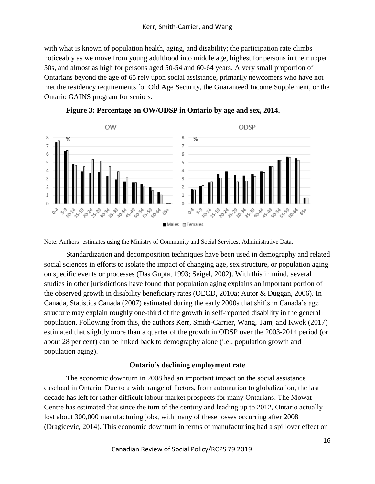with what is known of population health, aging, and disability; the participation rate climbs noticeably as we move from young adulthood into middle age, highest for persons in their upper 50s, and almost as high for persons aged 50-54 and 60-64 years. A very small proportion of Ontarians beyond the age of 65 rely upon social assistance, primarily newcomers who have not met the residency requirements for Old Age Security, the Guaranteed Income Supplement, or the Ontario GAINS program for seniors.



**Figure 3: Percentage on OW/ODSP in Ontario by age and sex, 2014.**

Note: Authors' estimates using the Ministry of Community and Social Services, Administrative Data.

Standardization and decomposition techniques have been used in demography and related social sciences in efforts to isolate the impact of changing age, sex structure, or population aging on specific events or processes (Das Gupta, 1993; Seigel, 2002). With this in mind, several studies in other jurisdictions have found that population aging explains an important portion of the observed growth in disability beneficiary rates (OECD, 2010a; Autor & Duggan, 2006). In Canada, Statistics Canada (2007) estimated during the early 2000s that shifts in Canada's age structure may explain roughly one-third of the growth in self-reported disability in the general population. Following from this, the authors Kerr, Smith-Carrier, Wang, Tam, and Kwok (2017) estimated that slightly more than a quarter of the growth in ODSP over the 2003-2014 period (or about 28 per cent) can be linked back to demography alone (i.e., population growth and population aging).

# **Ontario's declining employment rate**

The economic downturn in 2008 had an important impact on the social assistance caseload in Ontario. Due to a wide range of factors, from automation to globalization, the last decade has left for rather difficult labour market prospects for many Ontarians. The Mowat Centre has estimated that since the turn of the century and leading up to 2012, Ontario actually lost about 300,000 manufacturing jobs, with many of these losses occurring after 2008 (Dragicevic, 2014). This economic downturn in terms of manufacturing had a spillover effect on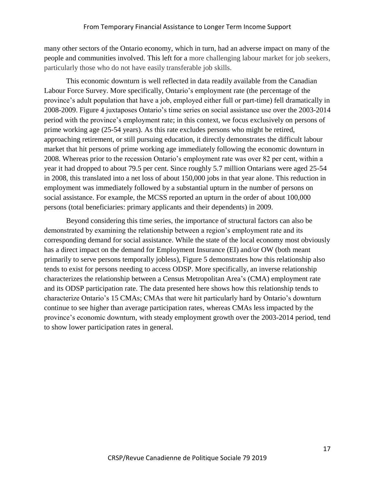many other sectors of the Ontario economy, which in turn, had an adverse impact on many of the people and communities involved. This left for a more challenging labour market for job seekers, particularly those who do not have easily transferable job skills.

This economic downturn is well reflected in data readily available from the Canadian Labour Force Survey. More specifically, Ontario's employment rate (the percentage of the province's adult population that have a job, employed either full or part-time) fell dramatically in 2008-2009. Figure 4 juxtaposes Ontario's time series on social assistance use over the 2003-2014 period with the province's employment rate; in this context, we focus exclusively on persons of prime working age (25-54 years). As this rate excludes persons who might be retired, approaching retirement, or still pursuing education, it directly demonstrates the difficult labour market that hit persons of prime working age immediately following the economic downturn in 2008. Whereas prior to the recession Ontario's employment rate was over 82 per cent, within a year it had dropped to about 79.5 per cent. Since roughly 5.7 million Ontarians were aged 25-54 in 2008, this translated into a net loss of about 150,000 jobs in that year alone. This reduction in employment was immediately followed by a substantial upturn in the number of persons on social assistance. For example, the MCSS reported an upturn in the order of about 100,000 persons (total beneficiaries: primary applicants and their dependents) in 2009.

Beyond considering this time series, the importance of structural factors can also be demonstrated by examining the relationship between a region's employment rate and its corresponding demand for social assistance. While the state of the local economy most obviously has a direct impact on the demand for Employment Insurance (EI) and/or OW (both meant primarily to serve persons temporally jobless), Figure 5 demonstrates how this relationship also tends to exist for persons needing to access ODSP. More specifically, an inverse relationship characterizes the relationship between a Census Metropolitan Area's (CMA) employment rate and its ODSP participation rate. The data presented here shows how this relationship tends to characterize Ontario's 15 CMAs; CMAs that were hit particularly hard by Ontario's downturn continue to see higher than average participation rates, whereas CMAs less impacted by the province's economic downturn, with steady employment growth over the 2003-2014 period, tend to show lower participation rates in general.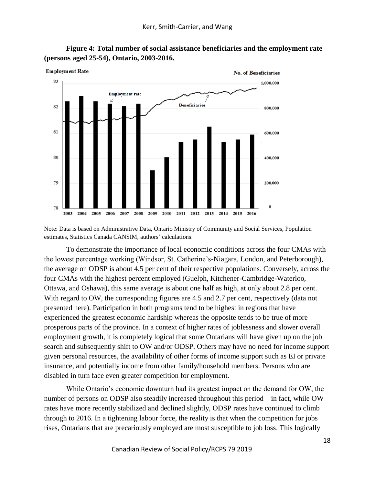

**Figure 4: Total number of social assistance beneficiaries and the employment rate (persons aged 25-54), Ontario, 2003-2016.**

Note: Data is based on Administrative Data, Ontario Ministry of Community and Social Services, Population estimates, Statistics Canada CANSIM, authors' calculations.

To demonstrate the importance of local economic conditions across the four CMAs with the lowest percentage working (Windsor, St. Catherine's-Niagara, London, and Peterborough), the average on ODSP is about 4.5 per cent of their respective populations. Conversely, across the four CMAs with the highest percent employed (Guelph, Kitchener-Cambridge-Waterloo, Ottawa, and Oshawa), this same average is about one half as high, at only about 2.8 per cent. With regard to OW, the corresponding figures are 4.5 and 2.7 per cent, respectively (data not presented here). Participation in both programs tend to be highest in regions that have experienced the greatest economic hardship whereas the opposite tends to be true of more prosperous parts of the province. In a context of higher rates of joblessness and slower overall employment growth, it is completely logical that some Ontarians will have given up on the job search and subsequently shift to OW and/or ODSP. Others may have no need for income support given personal resources, the availability of other forms of income support such as EI or private insurance, and potentially income from other family/household members. Persons who are disabled in turn face even greater competition for employment.

While Ontario's economic downturn had its greatest impact on the demand for OW, the number of persons on ODSP also steadily increased throughout this period – in fact, while OW rates have more recently stabilized and declined slightly, ODSP rates have continued to climb through to 2016. In a tightening labour force, the reality is that when the competition for jobs rises, Ontarians that are precariously employed are most susceptible to job loss. This logically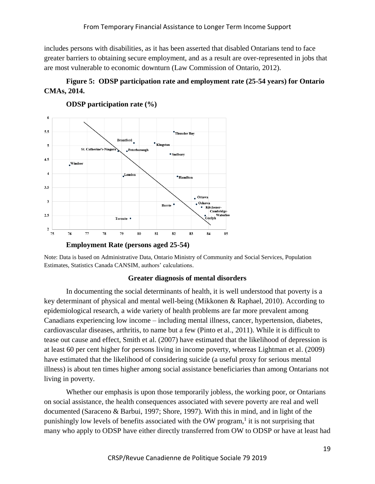includes persons with disabilities, as it has been asserted that disabled Ontarians tend to face greater barriers to obtaining secure employment, and as a result are over-represented in jobs that are most vulnerable to economic downturn (Law Commission of Ontario, 2012).

# **Figure 5: ODSP participation rate and employment rate (25-54 years) for Ontario CMAs, 2014.**



**ODSP participation rate (%)**

#### **Greater diagnosis of mental disorders**

In documenting the social determinants of health, it is well understood that poverty is a key determinant of physical and mental well-being (Mikkonen & Raphael, 2010). According to epidemiological research, a wide variety of health problems are far more prevalent among Canadians experiencing low income – including mental illness, cancer, hypertension, diabetes, cardiovascular diseases, arthritis, to name but a few (Pinto et al., 2011). While it is difficult to tease out cause and effect, Smith et al. (2007) have estimated that the likelihood of depression is at least 60 per cent higher for persons living in income poverty, whereas Lightman et al. (2009) have estimated that the likelihood of considering suicide (a useful proxy for serious mental illness) is about ten times higher among social assistance beneficiaries than among Ontarians not living in poverty.

Whether our emphasis is upon those temporarily jobless, the working poor, or Ontarians on social assistance, the health consequences associated with severe poverty are real and well documented (Saraceno & Barbui, 1997; Shore, 1997). With this in mind, and in light of the punishingly low levels of benefits associated with the OW program,<sup>1</sup> it is not surprising that many who apply to ODSP have either directly transferred from OW to ODSP or have at least had

Note: Data is based on Administrative Data, Ontario Ministry of Community and Social Services, Population Estimates, Statistics Canada CANSIM, authors' calculations.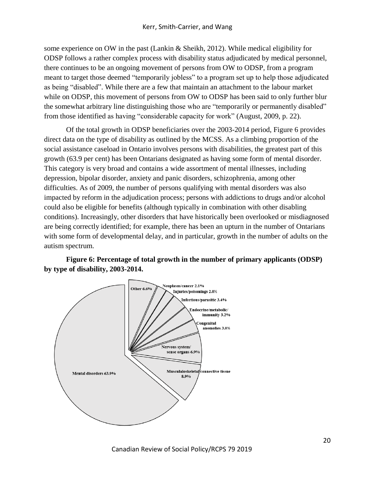some experience on OW in the past (Lankin & Sheikh, 2012). While medical eligibility for ODSP follows a rather complex process with disability status adjudicated by medical personnel, there continues to be an ongoing movement of persons from OW to ODSP, from a program meant to target those deemed "temporarily jobless" to a program set up to help those adjudicated as being "disabled". While there are a few that maintain an attachment to the labour market while on ODSP, this movement of persons from OW to ODSP has been said to only further blur the somewhat arbitrary line distinguishing those who are "temporarily or permanently disabled" from those identified as having "considerable capacity for work" (August, 2009, p. 22).

Of the total growth in ODSP beneficiaries over the 2003-2014 period, Figure 6 provides direct data on the type of disability as outlined by the MCSS. As a climbing proportion of the social assistance caseload in Ontario involves persons with disabilities, the greatest part of this growth (63.9 per cent) has been Ontarians designated as having some form of mental disorder. This category is very broad and contains a wide assortment of mental illnesses, including depression, bipolar disorder, anxiety and panic disorders, schizophrenia, among other difficulties. As of 2009, the number of persons qualifying with mental disorders was also impacted by reform in the adjudication process; persons with addictions to drugs and/or alcohol could also be eligible for benefits (although typically in combination with other disabling conditions). Increasingly, other disorders that have historically been overlooked or misdiagnosed are being correctly identified; for example, there has been an upturn in the number of Ontarians with some form of developmental delay, and in particular, growth in the number of adults on the autism spectrum.

**Figure 6: Percentage of total growth in the number of primary applicants (ODSP) by type of disability, 2003-2014.**

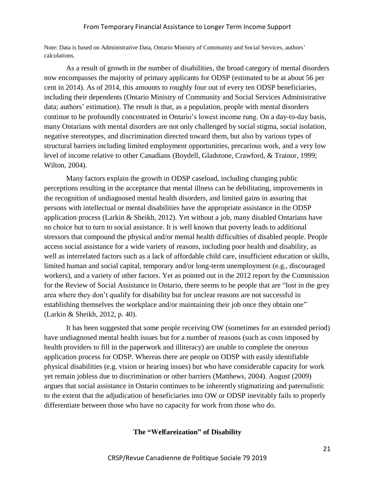Note: Data is based on Administrative Data, Ontario Ministry of Community and Social Services, authors' calculations.

As a result of growth in the number of disabilities, the broad category of mental disorders now encompasses the majority of primary applicants for ODSP (estimated to be at about 56 per cent in 2014). As of 2014, this amounts to roughly four out of every ten ODSP beneficiaries, including their dependents (Ontario Ministry of Community and Social Services Administrative data; authors' estimation). The result is that, as a population, people with mental disorders continue to be profoundly concentrated in Ontario's lowest income rung. On a day-to-day basis, many Ontarians with mental disorders are not only challenged by social stigma, social isolation, negative stereotypes, and discrimination directed toward them, but also by various types of structural barriers including limited employment opportunities, precarious work, and a very low level of income relative to other Canadians (Boydell, Gladstone, Crawford, & Trainor, 1999; Wilton, 2004).

Many factors explain the growth in ODSP caseload, including changing public perceptions resulting in the acceptance that mental illness can be debilitating, improvements in the recognition of undiagnosed mental health disorders, and limited gains in assuring that persons with intellectual or mental disabilities have the appropriate assistance in the ODSP application process (Larkin & Sheikh, 2012). Yet without a job, many disabled Ontarians have no choice but to turn to social assistance. It is well known that poverty leads to additional stressors that compound the physical and/or mental health difficulties of disabled people. People access social assistance for a wide variety of reasons, including poor health and disability, as well as interrelated factors such as a lack of affordable child care, insufficient education or skills, limited human and social capital, temporary and/or long-term unemployment (e.g., discouraged workers), and a variety of other factors. Yet as pointed out in the 2012 report by the Commission for the Review of Social Assistance in Ontario, there seems to be people that are "lost in the grey area where they don't qualify for disability but for unclear reasons are not successful in establishing themselves the workplace and/or maintaining their job once they obtain one" (Larkin & Sheikh, 2012, p. 40).

It has been suggested that some people receiving OW (sometimes for an extended period) have undiagnosed mental health issues but for a number of reasons (such as costs imposed by health providers to fill in the paperwork and illiteracy) are unable to complete the onerous application process for ODSP. Whereas there are people on ODSP with easily identifiable physical disabilities (e.g. vision or hearing issues) but who have considerable capacity for work yet remain jobless due to discrimination or other barriers (Matthews, 2004). August (2009) argues that social assistance in Ontario continues to be inherently stigmatizing and paternalistic to the extent that the adjudication of beneficiaries into OW or ODSP inevitably fails to properly differentiate between those who have no capacity for work from those who do.

## **The "Welfareization" of Disability**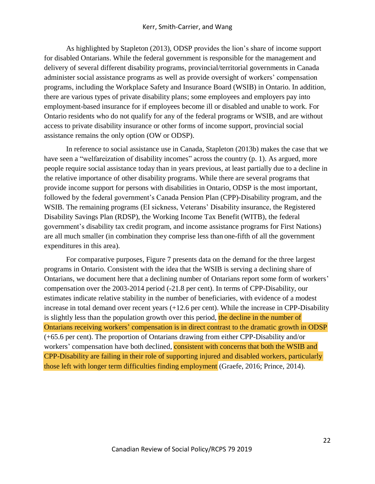As highlighted by Stapleton (2013), ODSP provides the lion's share of income support for disabled Ontarians. While the federal government is responsible for the management and delivery of several different disability programs, provincial/territorial governments in Canada administer social assistance programs as well as provide oversight of workers' compensation programs, including the Workplace Safety and Insurance Board (WSIB) in Ontario. In addition, there are various types of private disability plans; some employees and employers pay into employment-based insurance for if employees become ill or disabled and unable to work. For Ontario residents who do not qualify for any of the federal programs or WSIB, and are without access to private disability insurance or other forms of income support, provincial social assistance remains the only option (OW or ODSP).

In reference to social assistance use in Canada, Stapleton (2013b) makes the case that we have seen a "welfareization of disability incomes" across the country (p. 1). As argued, more people require social assistance today than in years previous, at least partially due to a decline in the relative importance of other disability programs. While there are several programs that provide income support for persons with disabilities in Ontario, ODSP is the most important, followed by the federal government's Canada Pension Plan (CPP)-Disability program, and the WSIB. The remaining programs (EI sickness, Veterans' Disability insurance, the Registered Disability Savings Plan (RDSP), the Working Income Tax Benefit (WITB), the federal government's disability tax credit program, and income assistance programs for First Nations) are all much smaller (in combination they comprise less than one-fifth of all the government expenditures in this area).

For comparative purposes, Figure 7 presents data on the demand for the three largest programs in Ontario. Consistent with the idea that the WSIB is serving a declining share of Ontarians, we document here that a declining number of Ontarians report some form of workers' compensation over the 2003-2014 period (-21.8 per cent). In terms of CPP-Disability, our estimates indicate relative stability in the number of beneficiaries, with evidence of a modest increase in total demand over recent years (+12.6 per cent). While the increase in CPP-Disability is slightly less than the population growth over this period, the decline in the number of Ontarians receiving workers' compensation is in direct contrast to the dramatic growth in ODSP (+65.6 per cent). The proportion of Ontarians drawing from either CPP-Disability and/or workers' compensation have both declined, consistent with concerns that both the WSIB and CPP-Disability are failing in their role of supporting injured and disabled workers, particularly those left with longer term difficulties finding employment (Graefe, 2016; Prince, 2014).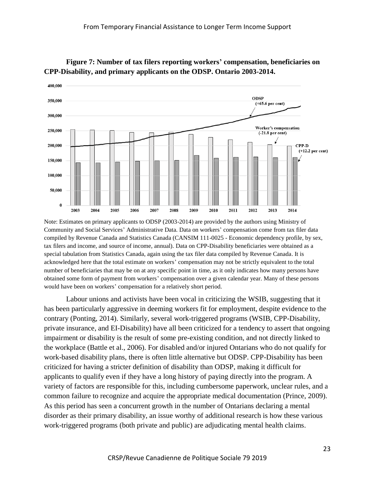

**Figure 7: Number of tax filers reporting workers' compensation, beneficiaries on CPP-Disability, and primary applicants on the ODSP. Ontario 2003-2014.**

Note: Estimates on primary applicants to ODSP (2003-2014) are provided by the authors using Ministry of Community and Social Services' Administrative Data. Data on workers' compensation come from tax filer data compiled by Revenue Canada and Statistics Canada (CANSIM 111-0025 - Economic dependency profile, by sex, tax filers and income, and source of income, annual). Data on CPP-Disability beneficiaries were obtained as a special tabulation from Statistics Canada, again using the tax filer data compiled by Revenue Canada. It is acknowledged here that the total estimate on workers' compensation may not be strictly equivalent to the total number of beneficiaries that may be on at any specific point in time, as it only indicates how many persons have obtained some form of payment from workers' compensation over a given calendar year. Many of these persons would have been on workers' compensation for a relatively short period.

Labour unions and activists have been vocal in criticizing the WSIB, suggesting that it has been particularly aggressive in deeming workers fit for employment, despite evidence to the contrary (Ponting, 2014). Similarly, several work-triggered programs (WSIB, CPP-Disability, private insurance, and EI-Disability) have all been criticized for a tendency to assert that ongoing impairment or disability is the result of some pre-existing condition, and not directly linked to the workplace (Battle et al., 2006). For disabled and/or injured Ontarians who do not qualify for work-based disability plans, there is often little alternative but ODSP. CPP-Disability has been criticized for having a stricter definition of disability than ODSP, making it difficult for applicants to qualify even if they have a long history of paying directly into the program. A variety of factors are responsible for this, including cumbersome paperwork, unclear rules, and a common failure to recognize and acquire the appropriate medical documentation (Prince, 2009). As this period has seen a concurrent growth in the number of Ontarians declaring a mental disorder as their primary disability, an issue worthy of additional research is how these various work-triggered programs (both private and public) are adjudicating mental health claims.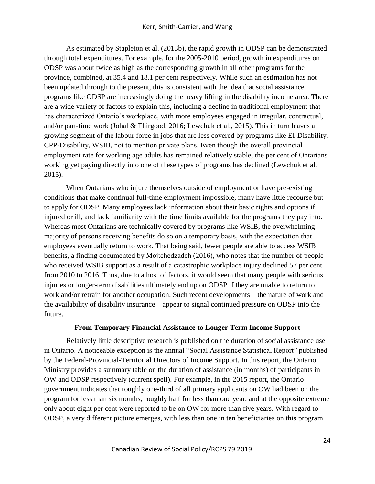As estimated by Stapleton et al. (2013b), the rapid growth in ODSP can be demonstrated through total expenditures. For example, for the 2005-2010 period, growth in expenditures on ODSP was about twice as high as the corresponding growth in all other programs for the province, combined, at 35.4 and 18.1 per cent respectively. While such an estimation has not been updated through to the present, this is consistent with the idea that social assistance programs like ODSP are increasingly doing the heavy lifting in the disability income area. There are a wide variety of factors to explain this, including a decline in traditional employment that has characterized Ontario's workplace, with more employees engaged in irregular, contractual, and/or part-time work (Johal & Thirgood, 2016; Lewchuk et al., 2015). This in turn leaves a growing segment of the labour force in jobs that are less covered by programs like EI-Disability, CPP-Disability, WSIB, not to mention private plans. Even though the overall provincial employment rate for working age adults has remained relatively stable, the per cent of Ontarians working yet paying directly into one of these types of programs has declined (Lewchuk et al. 2015).

When Ontarians who injure themselves outside of employment or have pre-existing conditions that make continual full-time employment impossible, many have little recourse but to apply for ODSP. Many employees lack information about their basic rights and options if injured or ill, and lack familiarity with the time limits available for the programs they pay into. Whereas most Ontarians are technically covered by programs like WSIB, the overwhelming majority of persons receiving benefits do so on a temporary basis, with the expectation that employees eventually return to work. That being said, fewer people are able to access WSIB benefits, a finding documented by Mojtehedzadeh (2016), who notes that the number of people who received WSIB support as a result of a catastrophic workplace injury declined 57 per cent from 2010 to 2016. Thus, due to a host of factors, it would seem that many people with serious injuries or longer-term disabilities ultimately end up on ODSP if they are unable to return to work and/or retrain for another occupation. Such recent developments – the nature of work and the availability of disability insurance – appear to signal continued pressure on ODSP into the future.

## **From Temporary Financial Assistance to Longer Term Income Support**

Relatively little descriptive research is published on the duration of social assistance use in Ontario. A noticeable exception is the annual "Social Assistance Statistical Report" published by the Federal-Provincial-Territorial Directors of Income Support. In this report, the Ontario Ministry provides a summary table on the duration of assistance (in months) of participants in OW and ODSP respectively (current spell). For example, in the 2015 report, the Ontario government indicates that roughly one-third of all primary applicants on OW had been on the program for less than six months, roughly half for less than one year, and at the opposite extreme only about eight per cent were reported to be on OW for more than five years. With regard to ODSP, a very different picture emerges, with less than one in ten beneficiaries on this program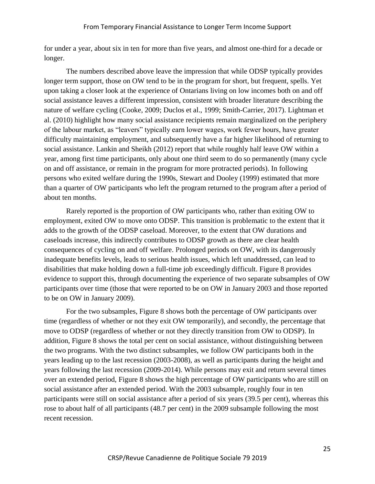for under a year, about six in ten for more than five years, and almost one-third for a decade or longer.

The numbers described above leave the impression that while ODSP typically provides longer term support, those on OW tend to be in the program for short, but frequent, spells. Yet upon taking a closer look at the experience of Ontarians living on low incomes both on and off social assistance leaves a different impression, consistent with broader literature describing the nature of welfare cycling (Cooke, 2009; Duclos et al., 1999; Smith-Carrier, 2017). Lightman et al. (2010) highlight how many social assistance recipients remain marginalized on the periphery of the labour market, as "leavers" typically earn lower wages, work fewer hours, have greater difficulty maintaining employment, and subsequently have a far higher likelihood of returning to social assistance. Lankin and Sheikh (2012) report that while roughly half leave OW within a year, among first time participants, only about one third seem to do so permanently (many cycle on and off assistance, or remain in the program for more protracted periods). In following persons who exited welfare during the 1990s, Stewart and Dooley (1999) estimated that more than a quarter of OW participants who left the program returned to the program after a period of about ten months.

Rarely reported is the proportion of OW participants who, rather than exiting OW to employment, exited OW to move onto ODSP. This transition is problematic to the extent that it adds to the growth of the ODSP caseload. Moreover, to the extent that OW durations and caseloads increase, this indirectly contributes to ODSP growth as there are clear health consequences of cycling on and off welfare. Prolonged periods on OW, with its dangerously inadequate benefits levels, leads to serious health issues, which left unaddressed, can lead to disabilities that make holding down a full-time job exceedingly difficult. Figure 8 provides evidence to support this, through documenting the experience of two separate subsamples of OW participants over time (those that were reported to be on OW in January 2003 and those reported to be on OW in January 2009).

For the two subsamples, Figure 8 shows both the percentage of OW participants over time (regardless of whether or not they exit OW temporarily), and secondly, the percentage that move to ODSP (regardless of whether or not they directly transition from OW to ODSP). In addition, Figure 8 shows the total per cent on social assistance, without distinguishing between the two programs. With the two distinct subsamples, we follow OW participants both in the years leading up to the last recession (2003-2008), as well as participants during the height and years following the last recession (2009-2014). While persons may exit and return several times over an extended period, Figure 8 shows the high percentage of OW participants who are still on social assistance after an extended period. With the 2003 subsample, roughly four in ten participants were still on social assistance after a period of six years (39.5 per cent), whereas this rose to about half of all participants (48.7 per cent) in the 2009 subsample following the most recent recession.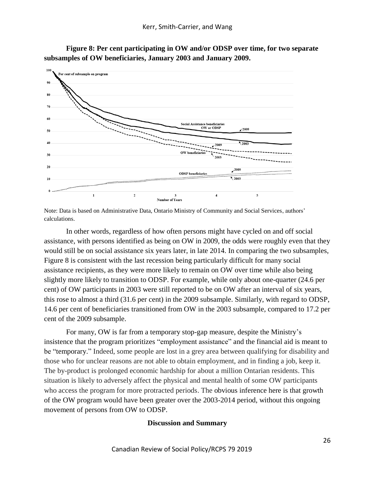

**Figure 8: Per cent participating in OW and/or ODSP over time, for two separate subsamples of OW beneficiaries, January 2003 and January 2009.**

In other words, regardless of how often persons might have cycled on and off social assistance, with persons identified as being on OW in 2009, the odds were roughly even that they would still be on social assistance six years later, in late 2014. In comparing the two subsamples, Figure 8 is consistent with the last recession being particularly difficult for many social assistance recipients, as they were more likely to remain on OW over time while also being slightly more likely to transition to ODSP. For example, while only about one-quarter (24.6 per cent) of OW participants in 2003 were still reported to be on OW after an interval of six years, this rose to almost a third (31.6 per cent) in the 2009 subsample. Similarly, with regard to ODSP, 14.6 per cent of beneficiaries transitioned from OW in the 2003 subsample, compared to 17.2 per cent of the 2009 subsample.

For many, OW is far from a temporary stop-gap measure, despite the Ministry's insistence that the program prioritizes "employment assistance" and the financial aid is meant to be "temporary." Indeed, some people are lost in a grey area between qualifying for disability and those who for unclear reasons are not able to obtain employment, and in finding a job, keep it. The by-product is prolonged economic hardship for about a million Ontarian residents. This situation is likely to adversely affect the physical and mental health of some OW participants who access the program for more protracted periods. The obvious inference here is that growth of the OW program would have been greater over the 2003-2014 period, without this ongoing movement of persons from OW to ODSP.

## **Discussion and Summary**

Note: Data is based on Administrative Data, Ontario Ministry of Community and Social Services, authors' calculations.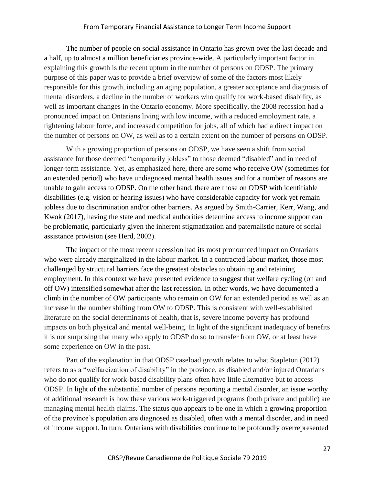The number of people on social assistance in Ontario has grown over the last decade and a half, up to almost a million beneficiaries province-wide. A particularly important factor in explaining this growth is the recent upturn in the number of persons on ODSP. The primary purpose of this paper was to provide a brief overview of some of the factors most likely responsible for this growth, including an aging population, a greater acceptance and diagnosis of mental disorders, a decline in the number of workers who qualify for work-based disability, as well as important changes in the Ontario economy. More specifically, the 2008 recession had a pronounced impact on Ontarians living with low income, with a reduced employment rate, a tightening labour force, and increased competition for jobs, all of which had a direct impact on the number of persons on OW, as well as to a certain extent on the number of persons on ODSP.

With a growing proportion of persons on ODSP, we have seen a shift from social assistance for those deemed "temporarily jobless" to those deemed "disabled" and in need of longer-term assistance. Yet, as emphasized here, there are some who receive OW (sometimes for an extended period) who have undiagnosed mental health issues and for a number of reasons are unable to gain access to ODSP. On the other hand, there are those on ODSP with identifiable disabilities (e.g. vision or hearing issues) who have considerable capacity for work yet remain jobless due to discrimination and/or other barriers. As argued by Smith-Carrier, Kerr, Wang, and Kwok (2017), having the state and medical authorities determine access to income support can be problematic, particularly given the inherent stigmatization and paternalistic nature of social assistance provision (see Herd, 2002).

The impact of the most recent recession had its most pronounced impact on Ontarians who were already marginalized in the labour market. In a contracted labour market, those most challenged by structural barriers face the greatest obstacles to obtaining and retaining employment. In this context we have presented evidence to suggest that welfare cycling (on and off OW) intensified somewhat after the last recession. In other words, we have documented a climb in the number of OW participants who remain on OW for an extended period as well as an increase in the number shifting from OW to ODSP. This is consistent with well-established literature on the social determinants of health, that is, severe income poverty has profound impacts on both physical and mental well-being. In light of the significant inadequacy of benefits it is not surprising that many who apply to ODSP do so to transfer from OW, or at least have some experience on OW in the past.

Part of the explanation in that ODSP caseload growth relates to what Stapleton (2012) refers to as a "welfareization of disability" in the province, as disabled and/or injured Ontarians who do not qualify for work-based disability plans often have little alternative but to access ODSP. In light of the substantial number of persons reporting a mental disorder, an issue worthy of additional research is how these various work-triggered programs (both private and public) are managing mental health claims. The status quo appears to be one in which a growing proportion of the province's population are diagnosed as disabled, often with a mental disorder, and in need of income support. In turn, Ontarians with disabilities continue to be profoundly overrepresented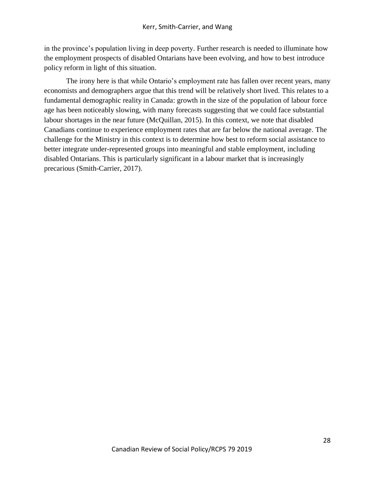in the province's population living in deep poverty. Further research is needed to illuminate how the employment prospects of disabled Ontarians have been evolving, and how to best introduce policy reform in light of this situation.

The irony here is that while Ontario's employment rate has fallen over recent years, many economists and demographers argue that this trend will be relatively short lived. This relates to a fundamental demographic reality in Canada: growth in the size of the population of labour force age has been noticeably slowing, with many forecasts suggesting that we could face substantial labour shortages in the near future (McQuillan, 2015). In this context, we note that disabled Canadians continue to experience employment rates that are far below the national average. The challenge for the Ministry in this context is to determine how best to reform social assistance to better integrate under-represented groups into meaningful and stable employment, including disabled Ontarians. This is particularly significant in a labour market that is increasingly precarious (Smith-Carrier, 2017).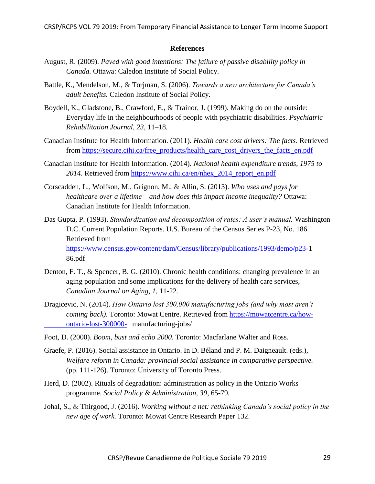### **References**

- August, R. (2009). *Paved with good intentions: The failure of passive disability policy in Canada.* Ottawa: Caledon Institute of Social Policy.
- Battle, K., Mendelson, M., & Torjman, S. (2006). *Towards a new architecture for Canada's adult benefits.* Caledon Institute of Social Policy.
- Boydell, K., Gladstone, B., Crawford, E., & Trainor, J. (1999). Making do on the outside: Everyday life in the neighbourhoods of people with psychiatric disabilities. *Psychiatric Rehabilitation Journal, 23*, 11–18*.*
- Canadian Institute for Health Information. (2011). *Health care cost drivers: The facts*. Retrieved from [https://secure.cihi.ca/free\\_products/health\\_care\\_cost\\_drivers\\_the\\_facts\\_en.pdf](https://secure.cihi.ca/free_products/health_care_cost_drivers_the_facts_en.pdf)
- Canadian Institute for Health Information. (2014). *National health expenditure trends, 1975 to 2014*. Retrieved from [https://www.cihi.ca/en/nhex\\_2014\\_report\\_en.pdf](https://www.cihi.ca/en/nhex_2014_report_en.pdf)
- Corscadden, L., Wolfson, M., Grignon, M., & Allin, S. (2013). *Who uses and pays for healthcare over a lifetime – and how does this impact income inequality?* Ottawa: Canadian Institute for Health Information.
- Das Gupta, P. (1993). *Standardization and decomposition of rates: A user's manual.* Washington D.C. Current Population Reports. U.S. Bureau of the Census Series P-23, No. 186. Retrieved from [https://www.census.gov/content/dam/Census/library/publications/1993/demo/p23-1](https://www.census.gov/content/dam/Census/library/publications/1993/demo/p23-) 86.pdf
- Denton, F. T., & Spencer, B. G. (2010). Chronic health conditions: changing prevalence in an aging population and some implications for the delivery of health care services, *Canadian Journal on Aging, 1*, 11-22*.*
- Dragicevic, N. (2014). *How Ontario lost 300,000 manufacturing jobs (and why most aren't coming back).* Toronto: Mowat Centre. Retrieved from [https://mowatcentre.ca/how](https://mowatcentre.ca/how-%09ontario-lost-300000-)[ontario-lost-300000-](https://mowatcentre.ca/how-%09ontario-lost-300000-) manufacturing-jobs/
- Foot, D. (2000). *Boom, bust and echo 2000*. Toronto: Macfarlane Walter and Ross.
- Graefe, P. (2016). Social assistance in Ontario. In D. Béland and P. M. Daigneault. (eds.), *Welfare reform in Canada: provincial social assistance in comparative perspective.* (pp. 111-126). Toronto: University of Toronto Press.
- Herd, D. (2002). Rituals of degradation: administration as policy in the Ontario Works programme. *Social Policy & Administration, 39*, 65-79*.*
- Johal, S., & Thirgood, J. (2016). *Working without a net: rethinking Canada's social policy in the new age of work.* Toronto: Mowat Centre Research Paper 132.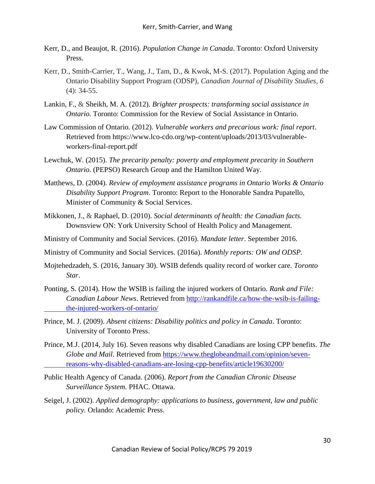- Kerr, D., and Beaujot, R. (2016). *Population Change in Canada*. Toronto: Oxford University Press.
- Kerr, D., Smith-Carrier, T., Wang, J., Tam, D., & Kwok, M-S. (2017). Population Aging and the Ontario Disability Support Program (ODSP), *Canadian Journal of Disability Studies, 6* (4): 34-55.
- Lankin, F., & Sheikh, M. A. (2012). *Brighter prospects: transforming social assistance in Ontario.* Toronto: Commission for the Review of Social Assistance in Ontario.
- Law Commission of Ontario. (2012). *Vulnerable workers and precarious work: final report*. Retrieved from https://www.lco-cdo.org/wp-content/uploads/2013/03/vulnerableworkers-final-report.pdf
- Lewchuk, W. (2015). *The precarity penalty: poverty and employment precarity in Southern Ontario.* (PEPSO) Research Group and the Hamilton United Way.
- Matthews, D. (2004). *Review of employment assistance programs in Ontario Works & Ontario Disability Support Program.* Toronto: Report to the Honorable Sandra Pupatello, Minister of Community & Social Services.
- Mikkonen, J., & Raphael, D. (2010). *Social determinants of health: the Canadian facts.* Downsview ON: York University School of Health Policy and Management.
- Ministry of Community and Social Services. (2016). *Mandate letter*. September 2016.
- Ministry of Community and Social Services. (2016a). *Monthly reports: OW and ODSP.*
- Mojtehedzadeh, S. (2016, January 30). WSIB defends quality record of worker care. *Toronto Star*.
- Ponting, S. (2014). How the WSIB is failing the injured workers of Ontario. *Rank and File: Canadian Labour News*. Retrieved from [http://rankandfile.ca/how-the-wsib-is-failing](http://rankandfile.ca/how-the-wsib-is-failing-%09the-injured-workers-of-ontario/)[the-injured-workers-of-ontario/](http://rankandfile.ca/how-the-wsib-is-failing-%09the-injured-workers-of-ontario/)
- Prince, M. J. (2009). *Absent citizens: Disability politics and policy in Canada*. Toronto: University of Toronto Press.
- Prince, M.J. (2014, July 16). Seven reasons why disabled Canadians are losing CPP benefits. *The Globe and Mail*. Retrieved from [https://www.theglobeandmail.com/opinion/seven](https://www.theglobeandmail.com/opinion/seven-%09reasons-why-disabled-canadians-are-losing-cpp-benefits/article19630200/)[reasons-why-disabled-canadians-are-losing-cpp-benefits/article19630200/](https://www.theglobeandmail.com/opinion/seven-%09reasons-why-disabled-canadians-are-losing-cpp-benefits/article19630200/)
- Public Health Agency of Canada. (2006). *Report from the Canadian Chronic Disease Surveillance System.* PHAC. Ottawa.
- Seigel, J. (2002). *Applied demography: applications to business, government, law and public policy.* Orlando: Academic Press.